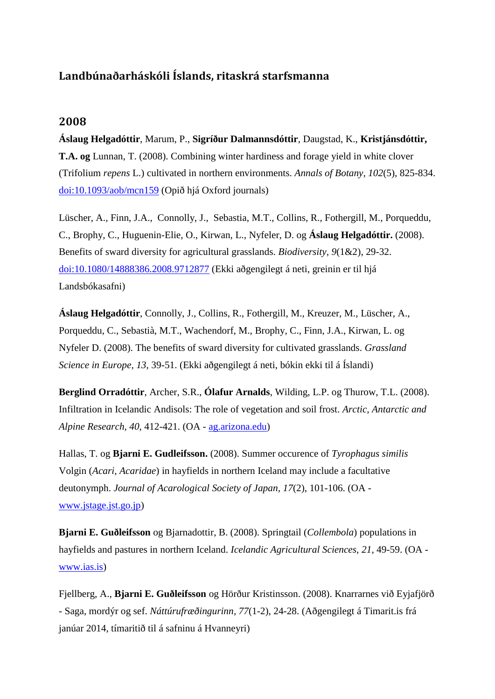## **Landbúnaðarháskóli Íslands, ritaskrá starfsmanna**

## **2008**

**Áslaug Helgadóttir**, Marum, P., **Sigríður Dalmannsdóttir**, Daugstad, K., **Kristjánsdóttir, T.A. og** Lunnan, T. (2008). Combining winter hardiness and forage yield in white clover (Trifolium *repens* L.) cultivated in northern environments. *Annals of Botany, 102*(5), 825-834. [doi:10.1093/aob/mcn159](http://aob.oxfordjournals.org/content/102/5/825.full.pdf+html) (Opið hjá Oxford journals)

Lüscher, A., Finn, J.A., Connolly, J., Sebastia, M.T., Collins, R., Fothergill, M., Porqueddu, C., Brophy, C., Huguenin-Elie, O., Kirwan, L., Nyfeler, D. og **Áslaug Helgadóttir.** (2008). Benefits of sward diversity for agricultural grasslands. *Biodiversity, 9*(1&2), 29-32. [doi:10.1080/14888386.2008.9712877](http://www.tandfonline.com/doi/abs/10.1080/14888386.2008.9712877#.UoI2I3C8DDs) (Ekki aðgengilegt á neti, greinin er til hjá Landsbókasafni)

**Áslaug Helgadóttir**, Connolly, J., Collins, R., Fothergill, M., Kreuzer, M., Lüscher, A., Porqueddu, C., Sebastià, M.T., Wachendorf, M., Brophy, C., Finn, J.A., Kirwan, L. og Nyfeler D. (2008). The benefits of sward diversity for cultivated grasslands. *Grassland Science in Europe, 13*, 39-51. (Ekki aðgengilegt á neti, bókin ekki til á Íslandi)

**Berglind Orradóttir**, Archer, S.R., **Ólafur Arnalds**, Wilding, L.P. og Thurow, T.L. (2008). Infiltration in Icelandic Andisols: The role of vegetation and soil frost. *Arctic, Antarctic and Alpine Research, 40*, 412-421. (OA - [ag.arizona.edu\)](http://ag.arizona.edu/research/archer/reprints/Orradottir%20et%20al.%202008_AA&AR.pdf)

Hallas, T. og **Bjarni E. Gudleifsson.** (2008). Summer occurence of *Tyrophagus similis* Volgin (*Acari, Acaridae*) in hayfields in northern Iceland may include a facultative deutonymph. *Journal of Acarological Society of Japan, 17*(2), 101-106. (OA [www.jstage.jst.go.jp\)](https://www.jstage.jst.go.jp/article/acari/17/2/17_2_101/_article)

**Bjarni E. Guðleifsson** og Bjarnadottir, B. (2008). Springtail (*Collembola*) populations in hayfields and pastures in northern Iceland. *Icelandic Agricultural Sciences, 21*, 49-59. (OA [www.ias.is\)](http://www.landbunadur.is/landbunadur/wgsamvef.nsf/8bbba2777ac88c4000256a89000a2ddb/dc2313532e699a700025754d0038e80f/$FILE/IAS_%20Springtail%20(Collembola).pdf)

Fjellberg, A., **Bjarni E. Guðleifsson** og Hörður Kristinsson. (2008). Knarrarnes við Eyjafjörð - Saga, mordýr og sef. *Náttúrufræðingurinn, 77*(1-2), 24-28. (Aðgengilegt á Timarit.is frá janúar 2014, tímaritið til á safninu á Hvanneyri)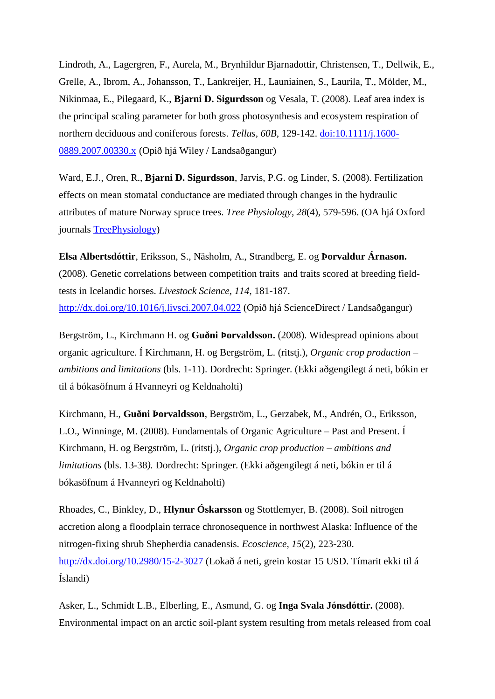Lindroth, A., Lagergren, F., Aurela, M., Brynhildur Bjarnadottir, Christensen, T., Dellwik, E., Grelle, A., Ibrom, A., Johansson, T., Lankreijer, H., Launiainen, S., Laurila, T., Mölder, M., Nikinmaa, E., Pilegaard, K., **Bjarni D. Sigurdsson** og Vesala, T. (2008). Leaf area index is the principal scaling parameter for both gross photosynthesis and ecosystem respiration of northern deciduous and coniferous forests. *Tellus, 60B*, 129-142. [doi:10.1111/j.1600-](http://onlinelibrary.wiley.com/doi/10.1111/j.1600-0889.2007.00330.x/pdf) [0889.2007.00330.x](http://onlinelibrary.wiley.com/doi/10.1111/j.1600-0889.2007.00330.x/pdf) (Opið hjá Wiley / Landsaðgangur)

Ward, E.J., Oren, R., **Bjarni D. Sigurdsson**, Jarvis, P.G. og Linder, S. (2008). Fertilization effects on mean stomatal conductance are mediated through changes in the hydraulic attributes of mature Norway spruce trees. *Tree Physiology, 28*(4), 579-596. (OA hjá Oxford journals [TreePhysiology\)](http://treephys.oxfordjournals.org/content/28/4/579.full.pdf)

**Elsa Albertsdóttir**, Eriksson, S., Näsholm, A., Strandberg, E. og **Þorvaldur Árnason.** (2008). Genetic correlations between competition traits and traits scored at breeding fieldtests in Icelandic horses. *Livestock Science, 114*, 181-187. <http://dx.doi.org/10.1016/j.livsci.2007.04.022> (Opið hjá ScienceDirect / Landsaðgangur)

Bergström, L., Kirchmann H. og **Guðni Þorvaldsson.** (2008). Widespread opinions about organic agriculture. Í Kirchmann, H. og Bergström, L. (ritstj.), *Organic crop production – ambitions and limitations* (bls. 1-11). Dordrecht: Springer. (Ekki aðgengilegt á neti, bókin er til á bókasöfnum á Hvanneyri og Keldnaholti)

Kirchmann, H., **Guðni Þorvaldsson**, Bergström, L., Gerzabek, M., Andrén, O., Eriksson, L.O., Winninge, M. (2008). [Fundamentals of Organic Agriculture –](http://link.springer.com/chapter/10.1007/978-1-4020-9316-6_2) Past and Present. Í Kirchmann, H. og Bergström, L. (ritstj.), *Organic crop production – ambitions and limitations* (bls. 13-38*).* Dordrecht: Springer. (Ekki aðgengilegt á neti, bókin er til á bókasöfnum á Hvanneyri og Keldnaholti)

Rhoades, C., Binkley, D., **Hlynur Óskarsson** og Stottlemyer, B. (2008). Soil nitrogen accretion along a floodplain terrace chronosequence in northwest Alaska: Influence of the nitrogen-fixing shrub Shepherdia canadensis. *Ecoscience, 15*(2), 223-230. <http://dx.doi.org/10.2980/15-2-3027> (Lokað á neti, grein kostar 15 USD. Tímarit ekki til á Íslandi)

Asker, L., Schmidt L.B., Elberling, E., Asmund, G. og **Inga Svala Jónsdóttir.** (2008). Environmental impact on an arctic soil-plant system resulting from metals released from coal